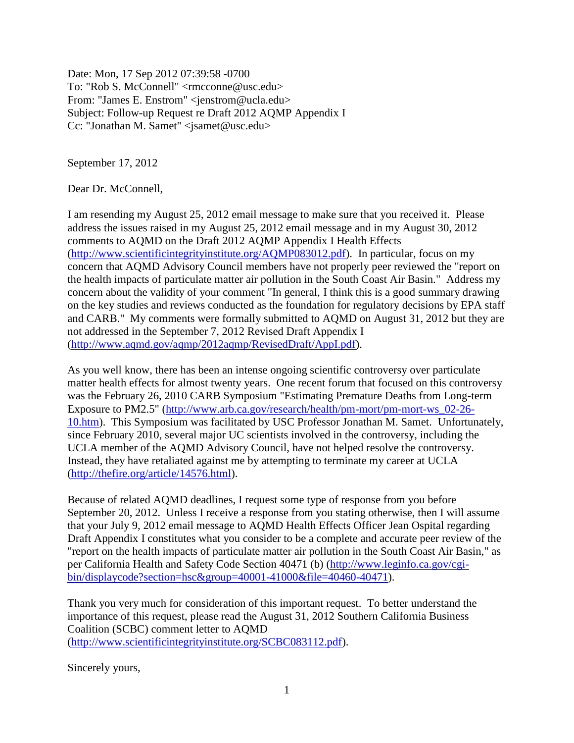Date: Mon, 17 Sep 2012 07:39:58 -0700 To: "Rob S. McConnell" <rmcconne@usc.edu> From: "James E. Enstrom" <jenstrom@ucla.edu> Subject: Follow-up Request re Draft 2012 AQMP Appendix I Cc: "Jonathan M. Samet" <jsamet@usc.edu>

September 17, 2012

Dear Dr. McConnell,

I am resending my August 25, 2012 email message to make sure that you received it. Please address the issues raised in my August 25, 2012 email message and in my August 30, 2012 comments to AQMD on the Draft 2012 AQMP Appendix I Health Effects [\(http://www.scientificintegrityinstitute.org/AQMP083012.pdf\)](http://www.scientificintegrityinstitute.org/AQMP083012.pdf). In particular, focus on my concern that AQMD Advisory Council members have not properly peer reviewed the "report on the health impacts of particulate matter air pollution in the South Coast Air Basin." Address my concern about the validity of your comment "In general, I think this is a good summary drawing on the key studies and reviews conducted as the foundation for regulatory decisions by EPA staff and CARB." My comments were formally submitted to AQMD on August 31, 2012 but they are not addressed in the September 7, 2012 Revised Draft Appendix I [\(http://www.aqmd.gov/aqmp/2012aqmp/RevisedDraft/AppI.pdf\)](http://www.aqmd.gov/aqmp/2012aqmp/RevisedDraft/AppI.pdf).

As you well know, there has been an intense ongoing scientific controversy over particulate matter health effects for almost twenty years. One recent forum that focused on this controversy was the February 26, 2010 CARB Symposium "Estimating Premature Deaths from Long-term Exposure to PM2.5" [\(http://www.arb.ca.gov/research/health/pm-mort/pm-mort-ws\\_02-26-](http://www.arb.ca.gov/research/health/pm-mort/pm-mort-ws_02-26-10.htm) [10.htm\)](http://www.arb.ca.gov/research/health/pm-mort/pm-mort-ws_02-26-10.htm). This Symposium was facilitated by USC Professor Jonathan M. Samet. Unfortunately, since February 2010, several major UC scientists involved in the controversy, including the UCLA member of the AQMD Advisory Council, have not helped resolve the controversy. Instead, they have retaliated against me by attempting to terminate my career at UCLA [\(http://thefire.org/article/14576.html\)](http://thefire.org/article/14576.html).

Because of related AQMD deadlines, I request some type of response from you before September 20, 2012. Unless I receive a response from you stating otherwise, then I will assume that your July 9, 2012 email message to AQMD Health Effects Officer Jean Ospital regarding Draft Appendix I constitutes what you consider to be a complete and accurate peer review of the "report on the health impacts of particulate matter air pollution in the South Coast Air Basin," as per California Health and Safety Code Section 40471 (b) [\(http://www.leginfo.ca.gov/cgi](http://www.leginfo.ca.gov/cgi-bin/displaycode?section=hsc&group=40001-41000&file=40460-40471)[bin/displaycode?section=hsc&group=40001-41000&file=40460-40471\)](http://www.leginfo.ca.gov/cgi-bin/displaycode?section=hsc&group=40001-41000&file=40460-40471).

Thank you very much for consideration of this important request. To better understand the importance of this request, please read the August 31, 2012 Southern California Business Coalition (SCBC) comment letter to AQMD [\(http://www.scientificintegrityinstitute.org/SCBC083112.pdf\)](http://www.scientificintegrityinstitute.org/SCBC083112.pdf).

Sincerely yours,